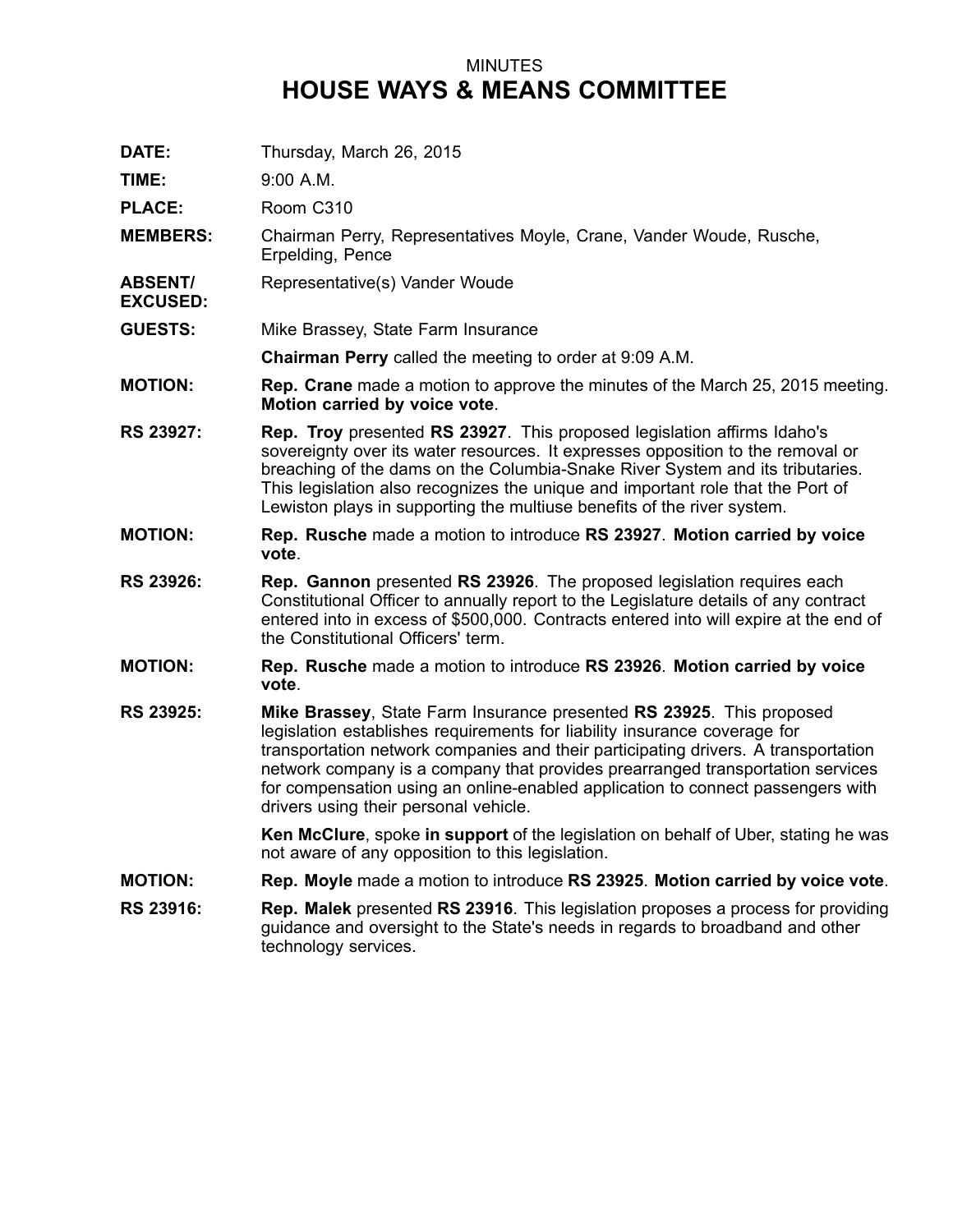## MINUTES **HOUSE WAYS & MEANS COMMITTEE**

- **DATE:** Thursday, March 26, 2015
- **TIME:** 9:00 A.M.
- PLACE: Room C310
- **MEMBERS:** Chairman Perry, Representatives Moyle, Crane, Vander Woude, Rusche, Erpelding, Pence
- **ABSENT/** Representative(s) Vander Woude
- **EXCUSED:**
- **GUESTS:** Mike Brassey, State Farm Insurance

**Chairman Perry** called the meeting to order at 9:09 A.M.

- **MOTION: Rep. Crane** made <sup>a</sup> motion to approve the minutes of the March 25, 2015 meeting. **Motion carried by voice vote**.
- **RS 23927: Rep. Troy** presented **RS 23927**. This proposed legislation affirms Idaho's sovereignty over its water resources. It expresses opposition to the removal or breaching of the dams on the Columbia-Snake River System and its tributaries. This legislation also recognizes the unique and important role that the Port of Lewiston plays in supporting the multiuse benefits of the river system.
- **MOTION: Rep. Rusche** made <sup>a</sup> motion to introduce **RS 23927**. **Motion carried by voice vote**.
- **RS 23926: Rep. Gannon** presented **RS 23926**. The proposed legislation requires each Constitutional Officer to annually report to the Legislature details of any contract entered into in excess of \$500,000. Contracts entered into will expire at the end of the Constitutional Officers' term.
- **MOTION: Rep. Rusche** made <sup>a</sup> motion to introduce **RS 23926**. **Motion carried by voice vote**.
- **RS 23925: Mike Brassey**, State Farm Insurance presented **RS 23925**. This proposed legislation establishes requirements for liability insurance coverage for transportation network companies and their participating drivers. A transportation network company is <sup>a</sup> company that provides prearranged transportation services for compensation using an online-enabled application to connect passengers with drivers using their personal vehicle.

**Ken McClure**, spoke **in support** of the legislation on behalf of Uber, stating he was not aware of any opposition to this legislation.

- **MOTION: Rep. Moyle** made <sup>a</sup> motion to introduce **RS 23925**. **Motion carried by voice vote**.
- **RS 23916: Rep. Malek** presented **RS 23916**. This legislation proposes <sup>a</sup> process for providing guidance and oversight to the State's needs in regards to broadband and other technology services.